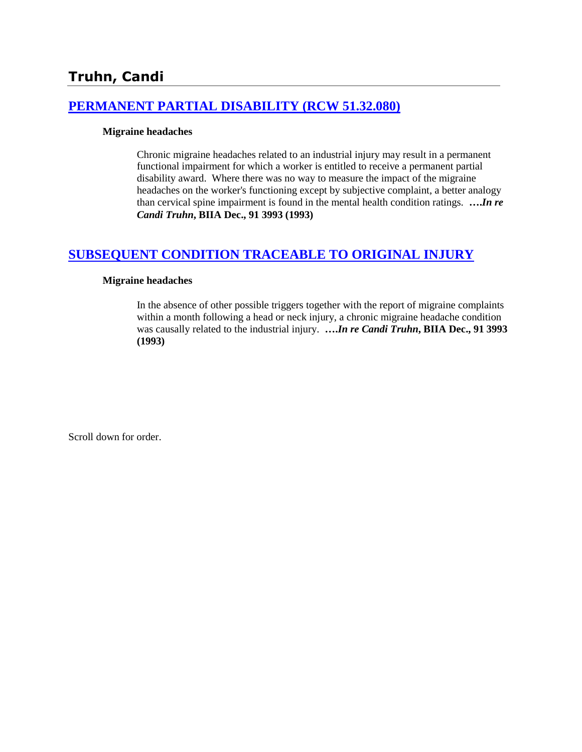# **[PERMANENT PARTIAL DISABILITY \(RCW 51.32.080\)](http://www.biia.wa.gov/SDSubjectIndex.html#PERMANENT_PARTIAL_DISABILITY)**

### **Migraine headaches**

Chronic migraine headaches related to an industrial injury may result in a permanent functional impairment for which a worker is entitled to receive a permanent partial disability award. Where there was no way to measure the impact of the migraine headaches on the worker's functioning except by subjective complaint, a better analogy than cervical spine impairment is found in the mental health condition ratings. **….***In re Candi Truhn***, BIIA Dec., 91 3993 (1993)**

# **[SUBSEQUENT CONDITION TRACEABLE TO ORIGINAL INJURY](http://www.biia.wa.gov/SDSubjectIndex.html#SUBSEQUENT_CONDITION_TRACEABLE_TO_ORIGINAL_INJURY)**

### **Migraine headaches**

In the absence of other possible triggers together with the report of migraine complaints within a month following a head or neck injury, a chronic migraine headache condition was causally related to the industrial injury. **….***In re Candi Truhn***, BIIA Dec., 91 3993 (1993)**

Scroll down for order.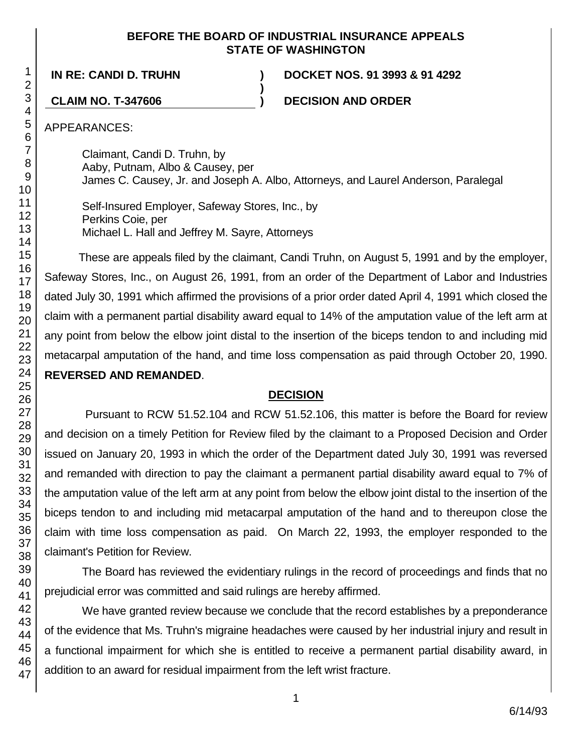### **BEFORE THE BOARD OF INDUSTRIAL INSURANCE APPEALS STATE OF WASHINGTON**

**)**

**IN RE: CANDI D. TRUHN ) DOCKET NOS. 91 3993 & 91 4292**

**CLAIM NO. T-347606 ) DECISION AND ORDER**

APPEARANCES:

Claimant, Candi D. Truhn, by Aaby, Putnam, Albo & Causey, per James C. Causey, Jr. and Joseph A. Albo, Attorneys, and Laurel Anderson, Paralegal

Self-Insured Employer, Safeway Stores, Inc., by Perkins Coie, per Michael L. Hall and Jeffrey M. Sayre, Attorneys

These are appeals filed by the claimant, Candi Truhn, on August 5, 1991 and by the employer, Safeway Stores, Inc., on August 26, 1991, from an order of the Department of Labor and Industries dated July 30, 1991 which affirmed the provisions of a prior order dated April 4, 1991 which closed the claim with a permanent partial disability award equal to 14% of the amputation value of the left arm at any point from below the elbow joint distal to the insertion of the biceps tendon to and including mid metacarpal amputation of the hand, and time loss compensation as paid through October 20, 1990. **REVERSED AND REMANDED**.

# **DECISION**

Pursuant to RCW 51.52.104 and RCW 51.52.106, this matter is before the Board for review and decision on a timely Petition for Review filed by the claimant to a Proposed Decision and Order issued on January 20, 1993 in which the order of the Department dated July 30, 1991 was reversed and remanded with direction to pay the claimant a permanent partial disability award equal to 7% of the amputation value of the left arm at any point from below the elbow joint distal to the insertion of the biceps tendon to and including mid metacarpal amputation of the hand and to thereupon close the claim with time loss compensation as paid. On March 22, 1993, the employer responded to the claimant's Petition for Review.

The Board has reviewed the evidentiary rulings in the record of proceedings and finds that no prejudicial error was committed and said rulings are hereby affirmed.

We have granted review because we conclude that the record establishes by a preponderance of the evidence that Ms. Truhn's migraine headaches were caused by her industrial injury and result in a functional impairment for which she is entitled to receive a permanent partial disability award, in addition to an award for residual impairment from the left wrist fracture.

1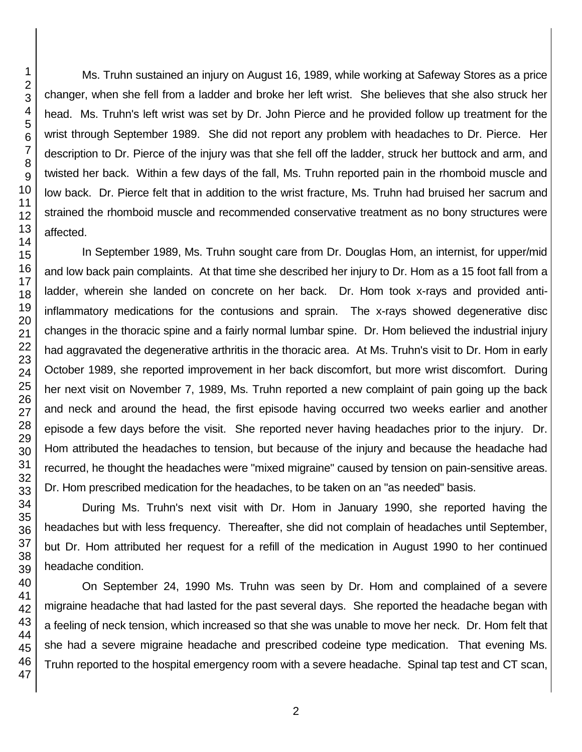Ms. Truhn sustained an injury on August 16, 1989, while working at Safeway Stores as a price changer, when she fell from a ladder and broke her left wrist. She believes that she also struck her head. Ms. Truhn's left wrist was set by Dr. John Pierce and he provided follow up treatment for the wrist through September 1989. She did not report any problem with headaches to Dr. Pierce. Her description to Dr. Pierce of the injury was that she fell off the ladder, struck her buttock and arm, and twisted her back. Within a few days of the fall, Ms. Truhn reported pain in the rhomboid muscle and low back. Dr. Pierce felt that in addition to the wrist fracture, Ms. Truhn had bruised her sacrum and strained the rhomboid muscle and recommended conservative treatment as no bony structures were affected.

In September 1989, Ms. Truhn sought care from Dr. Douglas Hom, an internist, for upper/mid and low back pain complaints. At that time she described her injury to Dr. Hom as a 15 foot fall from a ladder, wherein she landed on concrete on her back. Dr. Hom took x-rays and provided antiinflammatory medications for the contusions and sprain. The x-rays showed degenerative disc changes in the thoracic spine and a fairly normal lumbar spine. Dr. Hom believed the industrial injury had aggravated the degenerative arthritis in the thoracic area. At Ms. Truhn's visit to Dr. Hom in early October 1989, she reported improvement in her back discomfort, but more wrist discomfort. During her next visit on November 7, 1989, Ms. Truhn reported a new complaint of pain going up the back and neck and around the head, the first episode having occurred two weeks earlier and another episode a few days before the visit. She reported never having headaches prior to the injury. Dr. Hom attributed the headaches to tension, but because of the injury and because the headache had recurred, he thought the headaches were "mixed migraine" caused by tension on pain-sensitive areas. Dr. Hom prescribed medication for the headaches, to be taken on an "as needed" basis.

During Ms. Truhn's next visit with Dr. Hom in January 1990, she reported having the headaches but with less frequency. Thereafter, she did not complain of headaches until September, but Dr. Hom attributed her request for a refill of the medication in August 1990 to her continued headache condition.

On September 24, 1990 Ms. Truhn was seen by Dr. Hom and complained of a severe migraine headache that had lasted for the past several days. She reported the headache began with a feeling of neck tension, which increased so that she was unable to move her neck. Dr. Hom felt that she had a severe migraine headache and prescribed codeine type medication. That evening Ms. Truhn reported to the hospital emergency room with a severe headache. Spinal tap test and CT scan,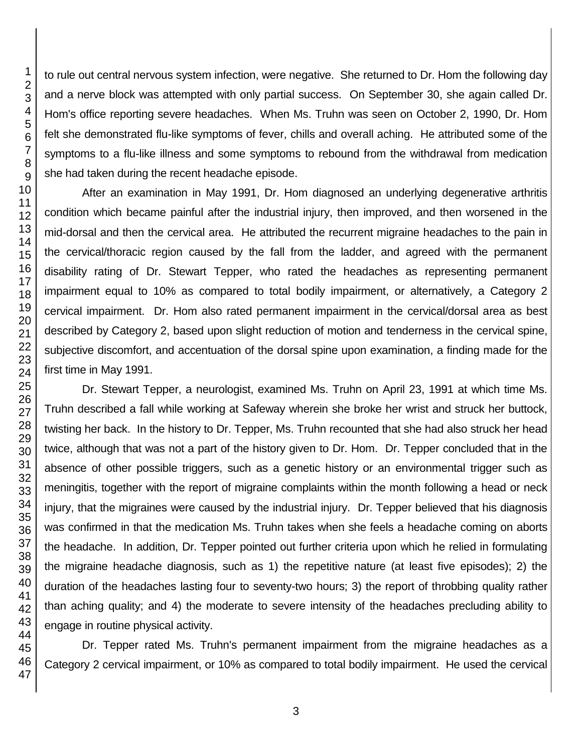to rule out central nervous system infection, were negative. She returned to Dr. Hom the following day and a nerve block was attempted with only partial success. On September 30, she again called Dr. Hom's office reporting severe headaches. When Ms. Truhn was seen on October 2, 1990, Dr. Hom felt she demonstrated flu-like symptoms of fever, chills and overall aching. He attributed some of the symptoms to a flu-like illness and some symptoms to rebound from the withdrawal from medication she had taken during the recent headache episode.

After an examination in May 1991, Dr. Hom diagnosed an underlying degenerative arthritis condition which became painful after the industrial injury, then improved, and then worsened in the mid-dorsal and then the cervical area. He attributed the recurrent migraine headaches to the pain in the cervical/thoracic region caused by the fall from the ladder, and agreed with the permanent disability rating of Dr. Stewart Tepper, who rated the headaches as representing permanent impairment equal to 10% as compared to total bodily impairment, or alternatively, a Category 2 cervical impairment. Dr. Hom also rated permanent impairment in the cervical/dorsal area as best described by Category 2, based upon slight reduction of motion and tenderness in the cervical spine, subjective discomfort, and accentuation of the dorsal spine upon examination, a finding made for the first time in May 1991.

Dr. Stewart Tepper, a neurologist, examined Ms. Truhn on April 23, 1991 at which time Ms. Truhn described a fall while working at Safeway wherein she broke her wrist and struck her buttock, twisting her back. In the history to Dr. Tepper, Ms. Truhn recounted that she had also struck her head twice, although that was not a part of the history given to Dr. Hom. Dr. Tepper concluded that in the absence of other possible triggers, such as a genetic history or an environmental trigger such as meningitis, together with the report of migraine complaints within the month following a head or neck injury, that the migraines were caused by the industrial injury. Dr. Tepper believed that his diagnosis was confirmed in that the medication Ms. Truhn takes when she feels a headache coming on aborts the headache. In addition, Dr. Tepper pointed out further criteria upon which he relied in formulating the migraine headache diagnosis, such as 1) the repetitive nature (at least five episodes); 2) the duration of the headaches lasting four to seventy-two hours; 3) the report of throbbing quality rather than aching quality; and 4) the moderate to severe intensity of the headaches precluding ability to engage in routine physical activity.

Dr. Tepper rated Ms. Truhn's permanent impairment from the migraine headaches as a Category 2 cervical impairment, or 10% as compared to total bodily impairment. He used the cervical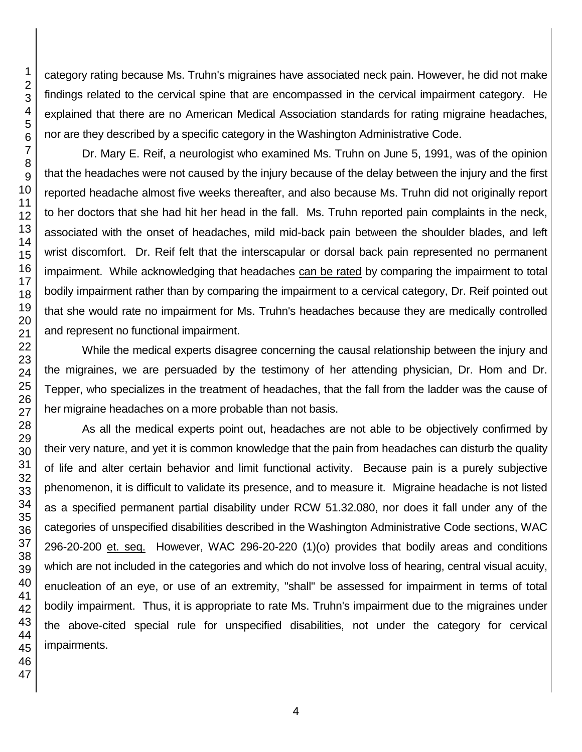category rating because Ms. Truhn's migraines have associated neck pain. However, he did not make findings related to the cervical spine that are encompassed in the cervical impairment category. He explained that there are no American Medical Association standards for rating migraine headaches, nor are they described by a specific category in the Washington Administrative Code.

Dr. Mary E. Reif, a neurologist who examined Ms. Truhn on June 5, 1991, was of the opinion that the headaches were not caused by the injury because of the delay between the injury and the first reported headache almost five weeks thereafter, and also because Ms. Truhn did not originally report to her doctors that she had hit her head in the fall. Ms. Truhn reported pain complaints in the neck, associated with the onset of headaches, mild mid-back pain between the shoulder blades, and left wrist discomfort. Dr. Reif felt that the interscapular or dorsal back pain represented no permanent impairment. While acknowledging that headaches can be rated by comparing the impairment to total bodily impairment rather than by comparing the impairment to a cervical category, Dr. Reif pointed out that she would rate no impairment for Ms. Truhn's headaches because they are medically controlled and represent no functional impairment.

While the medical experts disagree concerning the causal relationship between the injury and the migraines, we are persuaded by the testimony of her attending physician, Dr. Hom and Dr. Tepper, who specializes in the treatment of headaches, that the fall from the ladder was the cause of her migraine headaches on a more probable than not basis.

As all the medical experts point out, headaches are not able to be objectively confirmed by their very nature, and yet it is common knowledge that the pain from headaches can disturb the quality of life and alter certain behavior and limit functional activity. Because pain is a purely subjective phenomenon, it is difficult to validate its presence, and to measure it. Migraine headache is not listed as a specified permanent partial disability under RCW 51.32.080, nor does it fall under any of the categories of unspecified disabilities described in the Washington Administrative Code sections, WAC 296-20-200 et. seq. However, WAC 296-20-220 (1)(o) provides that bodily areas and conditions which are not included in the categories and which do not involve loss of hearing, central visual acuity, enucleation of an eye, or use of an extremity, "shall" be assessed for impairment in terms of total bodily impairment. Thus, it is appropriate to rate Ms. Truhn's impairment due to the migraines under the above-cited special rule for unspecified disabilities, not under the category for cervical impairments.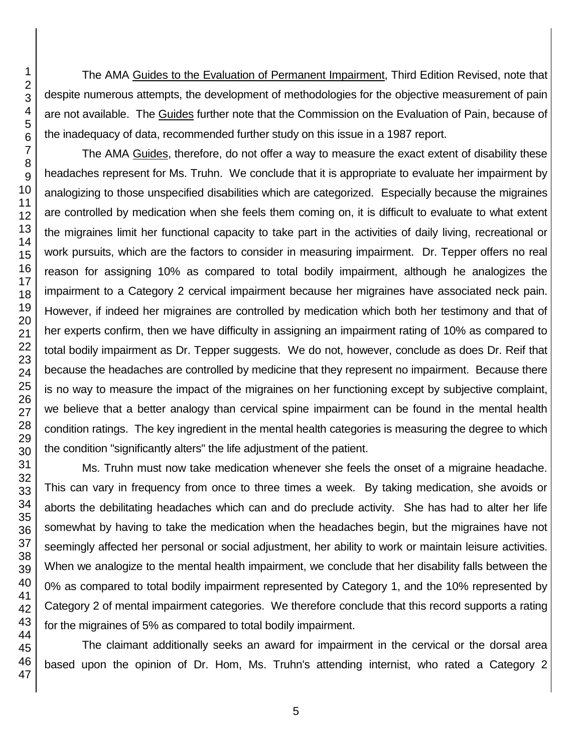The AMA Guides to the Evaluation of Permanent Impairment, Third Edition Revised, note that despite numerous attempts, the development of methodologies for the objective measurement of pain are not available. The Guides further note that the Commission on the Evaluation of Pain, because of the inadequacy of data, recommended further study on this issue in a 1987 report.

The AMA Guides, therefore, do not offer a way to measure the exact extent of disability these headaches represent for Ms. Truhn. We conclude that it is appropriate to evaluate her impairment by analogizing to those unspecified disabilities which are categorized. Especially because the migraines are controlled by medication when she feels them coming on, it is difficult to evaluate to what extent the migraines limit her functional capacity to take part in the activities of daily living, recreational or work pursuits, which are the factors to consider in measuring impairment. Dr. Tepper offers no real reason for assigning 10% as compared to total bodily impairment, although he analogizes the impairment to a Category 2 cervical impairment because her migraines have associated neck pain. However, if indeed her migraines are controlled by medication which both her testimony and that of her experts confirm, then we have difficulty in assigning an impairment rating of 10% as compared to total bodily impairment as Dr. Tepper suggests. We do not, however, conclude as does Dr. Reif that because the headaches are controlled by medicine that they represent no impairment. Because there is no way to measure the impact of the migraines on her functioning except by subjective complaint, we believe that a better analogy than cervical spine impairment can be found in the mental health condition ratings. The key ingredient in the mental health categories is measuring the degree to which the condition "significantly alters" the life adjustment of the patient.

Ms. Truhn must now take medication whenever she feels the onset of a migraine headache. This can vary in frequency from once to three times a week. By taking medication, she avoids or aborts the debilitating headaches which can and do preclude activity. She has had to alter her life somewhat by having to take the medication when the headaches begin, but the migraines have not seemingly affected her personal or social adjustment, her ability to work or maintain leisure activities. When we analogize to the mental health impairment, we conclude that her disability falls between the 0% as compared to total bodily impairment represented by Category 1, and the 10% represented by Category 2 of mental impairment categories. We therefore conclude that this record supports a rating for the migraines of 5% as compared to total bodily impairment.

The claimant additionally seeks an award for impairment in the cervical or the dorsal area based upon the opinion of Dr. Hom, Ms. Truhn's attending internist, who rated a Category 2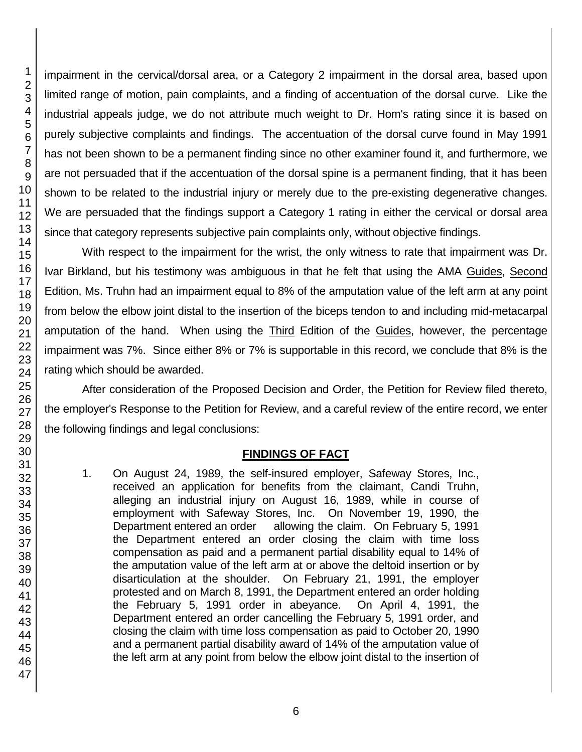impairment in the cervical/dorsal area, or a Category 2 impairment in the dorsal area, based upon limited range of motion, pain complaints, and a finding of accentuation of the dorsal curve. Like the industrial appeals judge, we do not attribute much weight to Dr. Hom's rating since it is based on purely subjective complaints and findings. The accentuation of the dorsal curve found in May 1991 has not been shown to be a permanent finding since no other examiner found it, and furthermore, we are not persuaded that if the accentuation of the dorsal spine is a permanent finding, that it has been shown to be related to the industrial injury or merely due to the pre-existing degenerative changes. We are persuaded that the findings support a Category 1 rating in either the cervical or dorsal area since that category represents subjective pain complaints only, without objective findings.

With respect to the impairment for the wrist, the only witness to rate that impairment was Dr. Ivar Birkland, but his testimony was ambiguous in that he felt that using the AMA Guides, Second Edition, Ms. Truhn had an impairment equal to 8% of the amputation value of the left arm at any point from below the elbow joint distal to the insertion of the biceps tendon to and including mid-metacarpal amputation of the hand. When using the Third Edition of the Guides, however, the percentage impairment was 7%. Since either 8% or 7% is supportable in this record, we conclude that 8% is the rating which should be awarded.

After consideration of the Proposed Decision and Order, the Petition for Review filed thereto, the employer's Response to the Petition for Review, and a careful review of the entire record, we enter the following findings and legal conclusions:

# **FINDINGS OF FACT**

1. On August 24, 1989, the self-insured employer, Safeway Stores, Inc., received an application for benefits from the claimant, Candi Truhn, alleging an industrial injury on August 16, 1989, while in course of employment with Safeway Stores, Inc. On November 19, 1990, the Department entered an order allowing the claim. On February 5, 1991 the Department entered an order closing the claim with time loss compensation as paid and a permanent partial disability equal to 14% of the amputation value of the left arm at or above the deltoid insertion or by disarticulation at the shoulder. On February 21, 1991, the employer protested and on March 8, 1991, the Department entered an order holding the February 5, 1991 order in abeyance. On April 4, 1991, the Department entered an order cancelling the February 5, 1991 order, and closing the claim with time loss compensation as paid to October 20, 1990 and a permanent partial disability award of 14% of the amputation value of the left arm at any point from below the elbow joint distal to the insertion of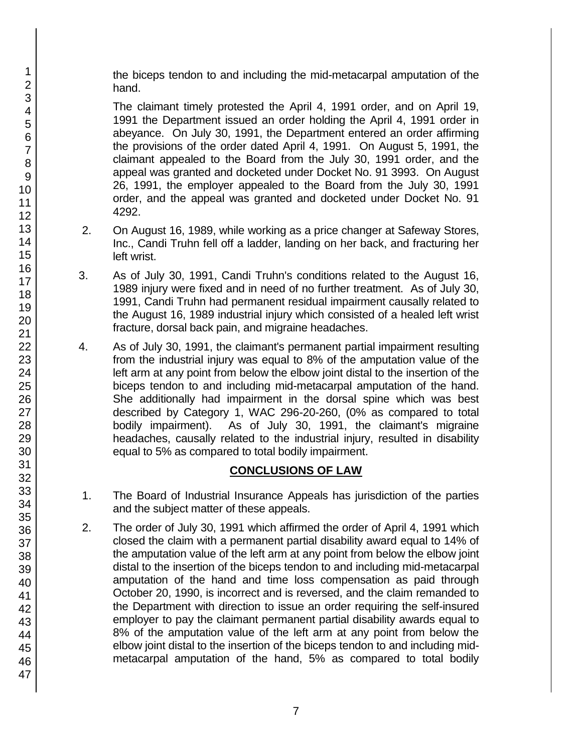the biceps tendon to and including the mid-metacarpal amputation of the hand.

The claimant timely protested the April 4, 1991 order, and on April 19, 1991 the Department issued an order holding the April 4, 1991 order in abeyance. On July 30, 1991, the Department entered an order affirming the provisions of the order dated April 4, 1991. On August 5, 1991, the claimant appealed to the Board from the July 30, 1991 order, and the appeal was granted and docketed under Docket No. 91 3993. On August 26, 1991, the employer appealed to the Board from the July 30, 1991 order, and the appeal was granted and docketed under Docket No. 91 4292.

- 2. On August 16, 1989, while working as a price changer at Safeway Stores, Inc., Candi Truhn fell off a ladder, landing on her back, and fracturing her left wrist.
- 3. As of July 30, 1991, Candi Truhn's conditions related to the August 16, 1989 injury were fixed and in need of no further treatment. As of July 30, 1991, Candi Truhn had permanent residual impairment causally related to the August 16, 1989 industrial injury which consisted of a healed left wrist fracture, dorsal back pain, and migraine headaches.
- 4. As of July 30, 1991, the claimant's permanent partial impairment resulting from the industrial injury was equal to 8% of the amputation value of the left arm at any point from below the elbow joint distal to the insertion of the biceps tendon to and including mid-metacarpal amputation of the hand. She additionally had impairment in the dorsal spine which was best described by Category 1, WAC 296-20-260, (0% as compared to total bodily impairment). As of July 30, 1991, the claimant's migraine headaches, causally related to the industrial injury, resulted in disability equal to 5% as compared to total bodily impairment.

## **CONCLUSIONS OF LAW**

- 1. The Board of Industrial Insurance Appeals has jurisdiction of the parties and the subject matter of these appeals.
- 2. The order of July 30, 1991 which affirmed the order of April 4, 1991 which closed the claim with a permanent partial disability award equal to 14% of the amputation value of the left arm at any point from below the elbow joint distal to the insertion of the biceps tendon to and including mid-metacarpal amputation of the hand and time loss compensation as paid through October 20, 1990, is incorrect and is reversed, and the claim remanded to the Department with direction to issue an order requiring the self-insured employer to pay the claimant permanent partial disability awards equal to 8% of the amputation value of the left arm at any point from below the elbow joint distal to the insertion of the biceps tendon to and including midmetacarpal amputation of the hand, 5% as compared to total bodily